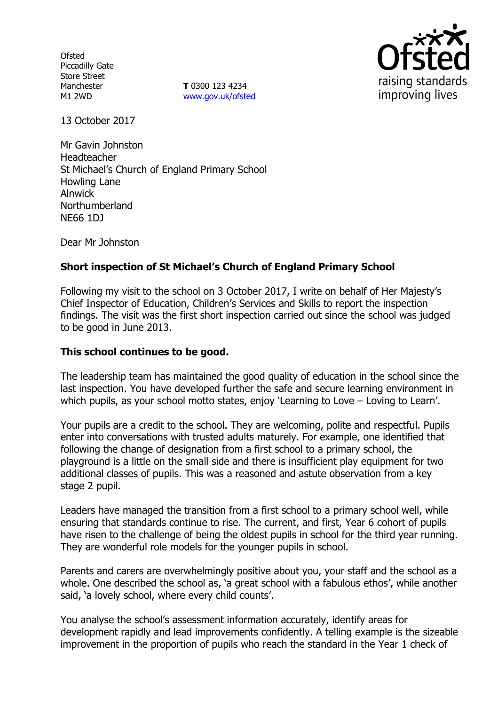**Ofsted** Piccadilly Gate Store Street Manchester M1 2WD

**T** 0300 123 4234 www.gov.uk/ofsted



13 October 2017

Mr Gavin Johnston Headteacher St Michael's Church of England Primary School Howling Lane Alnwick Northumberland NE66 1DJ

Dear Mr Johnston

# **Short inspection of St Michael's Church of England Primary School**

Following my visit to the school on 3 October 2017, I write on behalf of Her Majesty's Chief Inspector of Education, Children's Services and Skills to report the inspection findings. The visit was the first short inspection carried out since the school was judged to be good in June 2013.

## **This school continues to be good.**

The leadership team has maintained the good quality of education in the school since the last inspection. You have developed further the safe and secure learning environment in which pupils, as your school motto states, enjoy 'Learning to Love – Loving to Learn'.

Your pupils are a credit to the school. They are welcoming, polite and respectful. Pupils enter into conversations with trusted adults maturely. For example, one identified that following the change of designation from a first school to a primary school, the playground is a little on the small side and there is insufficient play equipment for two additional classes of pupils. This was a reasoned and astute observation from a key stage 2 pupil.

Leaders have managed the transition from a first school to a primary school well, while ensuring that standards continue to rise. The current, and first, Year 6 cohort of pupils have risen to the challenge of being the oldest pupils in school for the third year running. They are wonderful role models for the younger pupils in school.

Parents and carers are overwhelmingly positive about you, your staff and the school as a whole. One described the school as, 'a great school with a fabulous ethos', while another said, 'a lovely school, where every child counts'.

You analyse the school's assessment information accurately, identify areas for development rapidly and lead improvements confidently. A telling example is the sizeable improvement in the proportion of pupils who reach the standard in the Year 1 check of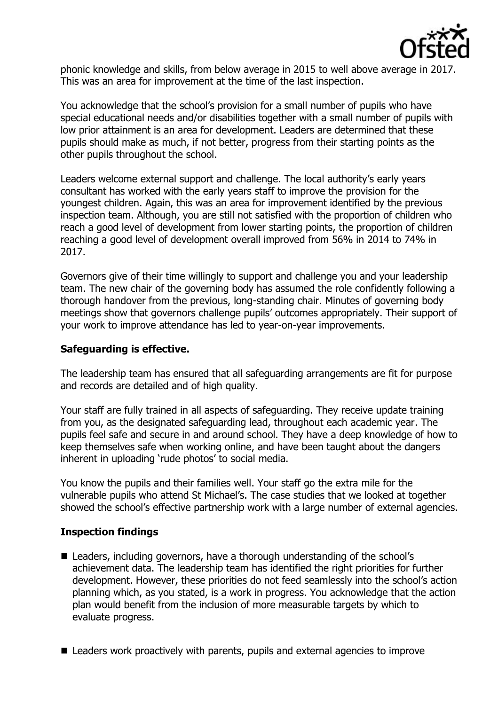

phonic knowledge and skills, from below average in 2015 to well above average in 2017. This was an area for improvement at the time of the last inspection.

You acknowledge that the school's provision for a small number of pupils who have special educational needs and/or disabilities together with a small number of pupils with low prior attainment is an area for development. Leaders are determined that these pupils should make as much, if not better, progress from their starting points as the other pupils throughout the school.

Leaders welcome external support and challenge. The local authority's early years consultant has worked with the early years staff to improve the provision for the youngest children. Again, this was an area for improvement identified by the previous inspection team. Although, you are still not satisfied with the proportion of children who reach a good level of development from lower starting points, the proportion of children reaching a good level of development overall improved from 56% in 2014 to 74% in 2017.

Governors give of their time willingly to support and challenge you and your leadership team. The new chair of the governing body has assumed the role confidently following a thorough handover from the previous, long-standing chair. Minutes of governing body meetings show that governors challenge pupils' outcomes appropriately. Their support of your work to improve attendance has led to year-on-year improvements.

## **Safeguarding is effective.**

The leadership team has ensured that all safeguarding arrangements are fit for purpose and records are detailed and of high quality.

Your staff are fully trained in all aspects of safeguarding. They receive update training from you, as the designated safeguarding lead, throughout each academic year. The pupils feel safe and secure in and around school. They have a deep knowledge of how to keep themselves safe when working online, and have been taught about the dangers inherent in uploading 'rude photos' to social media.

You know the pupils and their families well. Your staff go the extra mile for the vulnerable pupils who attend St Michael's. The case studies that we looked at together showed the school's effective partnership work with a large number of external agencies.

## **Inspection findings**

- Leaders, including governors, have a thorough understanding of the school's achievement data. The leadership team has identified the right priorities for further development. However, these priorities do not feed seamlessly into the school's action planning which, as you stated, is a work in progress. You acknowledge that the action plan would benefit from the inclusion of more measurable targets by which to evaluate progress.
- Leaders work proactively with parents, pupils and external agencies to improve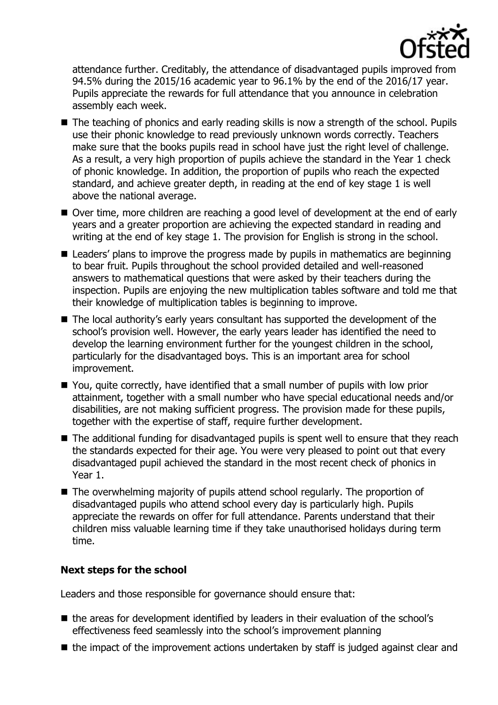

attendance further. Creditably, the attendance of disadvantaged pupils improved from 94.5% during the 2015/16 academic year to 96.1% by the end of the 2016/17 year. Pupils appreciate the rewards for full attendance that you announce in celebration assembly each week.

- The teaching of phonics and early reading skills is now a strength of the school. Pupils use their phonic knowledge to read previously unknown words correctly. Teachers make sure that the books pupils read in school have just the right level of challenge. As a result, a very high proportion of pupils achieve the standard in the Year 1 check of phonic knowledge. In addition, the proportion of pupils who reach the expected standard, and achieve greater depth, in reading at the end of key stage 1 is well above the national average.
- Over time, more children are reaching a good level of development at the end of early years and a greater proportion are achieving the expected standard in reading and writing at the end of key stage 1. The provision for English is strong in the school.
- Leaders' plans to improve the progress made by pupils in mathematics are beginning to bear fruit. Pupils throughout the school provided detailed and well-reasoned answers to mathematical questions that were asked by their teachers during the inspection. Pupils are enjoying the new multiplication tables software and told me that their knowledge of multiplication tables is beginning to improve.
- The local authority's early years consultant has supported the development of the school's provision well. However, the early years leader has identified the need to develop the learning environment further for the youngest children in the school, particularly for the disadvantaged boys. This is an important area for school improvement.
- You, quite correctly, have identified that a small number of pupils with low prior attainment, together with a small number who have special educational needs and/or disabilities, are not making sufficient progress. The provision made for these pupils, together with the expertise of staff, require further development.
- The additional funding for disadvantaged pupils is spent well to ensure that they reach the standards expected for their age. You were very pleased to point out that every disadvantaged pupil achieved the standard in the most recent check of phonics in Year 1.
- The overwhelming majority of pupils attend school regularly. The proportion of disadvantaged pupils who attend school every day is particularly high. Pupils appreciate the rewards on offer for full attendance. Parents understand that their children miss valuable learning time if they take unauthorised holidays during term time.

# **Next steps for the school**

Leaders and those responsible for governance should ensure that:

- the areas for development identified by leaders in their evaluation of the school's effectiveness feed seamlessly into the school's improvement planning
- $\blacksquare$  the impact of the improvement actions undertaken by staff is judged against clear and